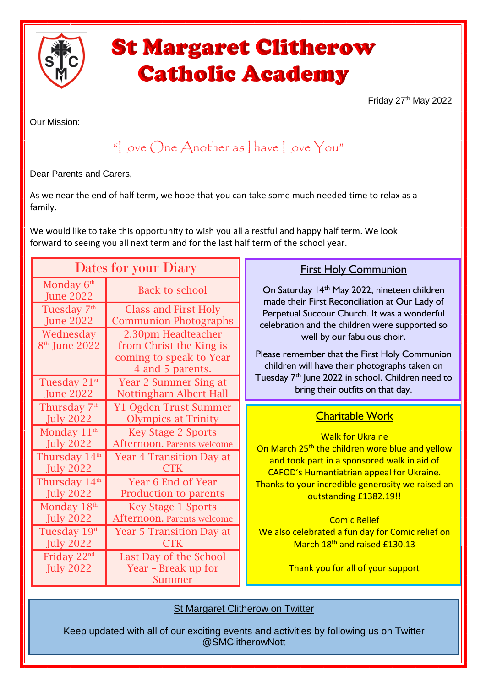

# **St Margaret Clitherow Catholic Academy**

Friday 27<sup>th</sup> May 2022

Our Mission:

## "Love  $\bigcap$ ne Another as I have Love You"

Dear Parents and Carers,

As we near the end of half term, we hope that you can take some much needed time to relax as a family.

We would like to take this opportunity to wish you all a restful and happy half term. We look forward to seeing you all next term and for the last half term of the school year.

| Dates for your Diary                          |                                                               | <b>First Holy Communion</b>                                                                                              |
|-----------------------------------------------|---------------------------------------------------------------|--------------------------------------------------------------------------------------------------------------------------|
| Monday 6 <sup>th</sup><br><b>June 2022</b>    | <b>Back to school</b>                                         | On Saturday 14th May 2022, nineteen children<br>made their First Reconciliation at Our Lady of                           |
| Tuesday 7 <sup>th</sup><br><b>June 2022</b>   | <b>Class and First Holy</b><br><b>Communion Photographs</b>   | Perpetual Succour Church. It was a wonderful<br>celebration and the children were supported so                           |
| Wednesday<br>8 <sup>th</sup> June 2022        | 2.30pm Headteacher<br>from Christ the King is                 | well by our fabulous choir.                                                                                              |
|                                               | coming to speak to Year<br>4 and 5 parents.                   | Please remember that the First Holy Communion<br>children will have their photographs taken on                           |
| Tuesday 21 <sup>st</sup><br><b>June 2022</b>  | <b>Year 2 Summer Sing at</b><br><b>Nottingham Albert Hall</b> | Tuesday 7 <sup>th</sup> June 2022 in school. Children need to<br>bring their outfits on that day.                        |
| Thursday 7 <sup>th</sup><br><b>July 2022</b>  | <b>Y1 Ogden Trust Summer</b><br><b>Olympics at Trinity</b>    | <b>Charitable Work</b>                                                                                                   |
| Monday $11th$<br><b>July 2022</b>             | <b>Key Stage 2 Sports</b><br>Afternoon. Parents welcome       | <b>Walk for Ukraine</b>                                                                                                  |
|                                               |                                                               |                                                                                                                          |
| Thursday 14 <sup>th</sup><br><b>July 2022</b> | <b>Year 4 Transition Day at</b><br><b>CTK</b>                 | On March 25 <sup>th</sup> the children wore blue and yellow<br>and took part in a sponsored walk in aid of               |
| Thursday 14 <sup>th</sup><br><b>July 2022</b> | Year 6 End of Year<br>Production to parents                   | CAFOD's Humantiatrian appeal for Ukraine.<br>Thanks to your incredible generosity we raised an<br>outstanding £1382.19!! |
| Monday 18th<br><b>July 2022</b>               | <b>Key Stage 1 Sports</b><br>Afternoon. Parents welcome       | <b>Comic Relief</b>                                                                                                      |
| Tuesday 19th<br><b>July 2022</b>              | <b>Year 5 Transition Day at</b><br><b>CTK</b>                 | We also celebrated a fun day for Comic relief on<br>March 18th and raised £130.13                                        |
| Friday 22nd<br><b>July 2022</b>               | Last Day of the School<br>Year - Break up for<br>Summer       | Thank you for all of your support                                                                                        |

**St Margaret Clitherow on Twitter** 

Keep updated with all of our exciting events and activities by following us on Twitter @SMClitherowNott